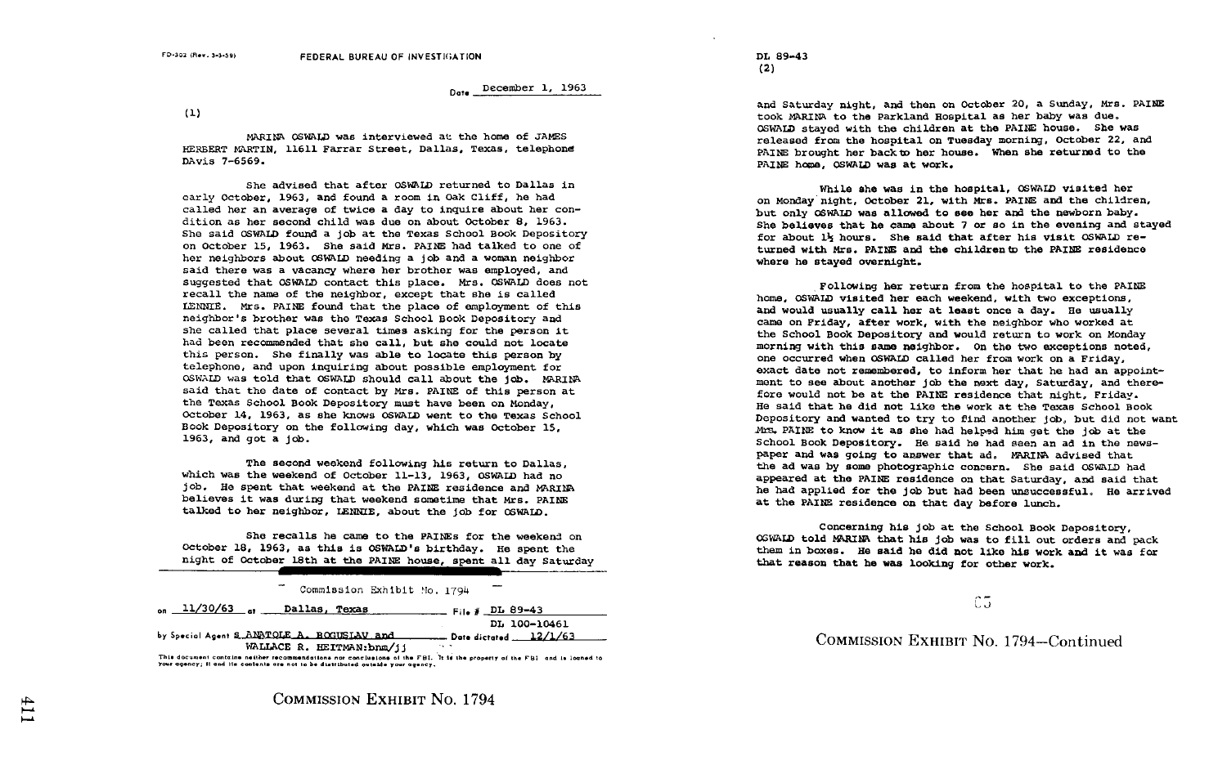Date December 1, 1963

 $(1)$ 

MARINA OSWALD was interviewed at the home of JAMES HERBERT MARTIN, 11611 Farrar Street, Dallas, Texas, telephone DAvis 7-6569 .

She advised that after OSWALD returned to Dallas in early October, 1963, and found a room in Oak Cliff, he had called her an average of twice a day to inquire about her con dition as her second child was due on about October 8, 1963 . She said OSWALD found a job at the Texas School Book Depository on October 15, 1963. She said Mrs. PAINE had talked to one of her neighbors about OSWALD needing a job and a woman neighbor said there was a vacancy where her brother was employed, and suggested that OSWALD contact this place. Mrs. OSWALD does not recall the name of the neighbor, except that she is called LENNIE. Mrs. PAINE found that the place of employment of this neighbor's brother was the Texas School Book Depository and she called that place several times asking for the person it had been recommended that she call, but she could not locate this person. She finally was able to locate this person by telephone, and upon inquiring about possible employment for OSWALD was told that OSWALD should call about the job . MARINA said that the date of contact by Mrs. PAINE of this person at the Texas School Book Depository must have been on Monday, October 14, 1963, as she knows OSWALD went to the Texas School Book Depository on the following day, which was October 15, 1963, and got a job.

The second weekend following his return to Dallas, which was the weekend of October 11-13, 1963, OSWALD had no iob. He spent that weekend at the PAINE residence and MARINA believes it was during that weekend sometime that Mrs. PAINE talked to her neighbor, LENNIE, about the job for OSWALD .

She recalls he came to the PAINS for the weekend on October 18, 1963, as this is OSWALD's birthday. He spent the night of October 18th at the PAINE house, spent all day Saturday

| night of October 18th at the PAINE house, spent all day Saturday                                                                                                      |              |
|-----------------------------------------------------------------------------------------------------------------------------------------------------------------------|--------------|
| Commission Exhibit Mo. 1794                                                                                                                                           |              |
| $_{\text{on}}$ 11/30/63 $_{\text{at}}$<br>Dallas, Texas<br>$F_{\text{the}}$ # DL 89-43                                                                                |              |
| by Special Agent S. ANATOLE A. BOGUSIAV and Date dictated 12/1/63                                                                                                     | DL 100-10461 |
| WALLACE R. HEITMAN: bnm/ii<br>$\sim$ $\sim$<br>This document contains natther recommendations nor conclusions of the FBI. It is the property of the FBI and is logned |              |

۵ your agency; it and its contents are not to be distributed outside your agency.

COMMISSION EXHIBIT NO. 1794

DL 89-43 (2)

and Saturday night, and then on October 20, a Sunday, Mrs. PAINE took MARINA to the Parkland Hospital as her baby was due . OSWALD stayed with the children at the PAINE house. She was released from the hospital on Tuesday morning, October 22, and PAINE brought her back to her house. When she returned to the PAINE home, OSWALD was at work.

While she was in the hospital, OSWATD visited her on Monday night, October 21, with Mrs. PAINE and the children, but only OSWALD was allowed to see her and the newborn baby . She believes that he came about <sup>7</sup> or so in the evening and stayed for about 1/2 hours. She said that after his visit OSWALD returned with Mrs. PAINE and the children to the PAINE residence where he stayed overnight.

Following her return from the hospital to the PAIN home, OSWALD visited her each weekend, with two exceptions, and would usually call her at least once a day. He usually came on Friday, after work, with the neighbor who worked at the School Book Depository and would return to work on Monday morning with this same neighbor. On the two exceptions noted. one occurred when OSWALD called her from work on a Friday, exact date not remembered, to inform her that he had an appointment to see about another job the next day, Saturday, and therefore would not be at the PAINE residence that night. Friday. He said that he did not like the work at the Texas School Book Depository and wanted to try to find another job, but did not want Mrs. PAINE to know it as she had helped him get the job at the School Book Depository. He said he had seen an ad in the newspaper and was going to answer that ad. MARINA advised that the ad was by some photographic conzern . She said OSVALD had appeared at the PAINE residence on that Saturday, and said that he had applied for the job but had been unsuccessful. He arrived at the PAINE residence on that day before lunch.

Concerning his job at the School Book Depository, OGWALD told MARINA that his job was to fill out orders and pack them in boxes. He said he did not like his work and it was for that reason that he was looking for other work .

l CG

## COMMISSION EXHIBIT NO. 1794-Continued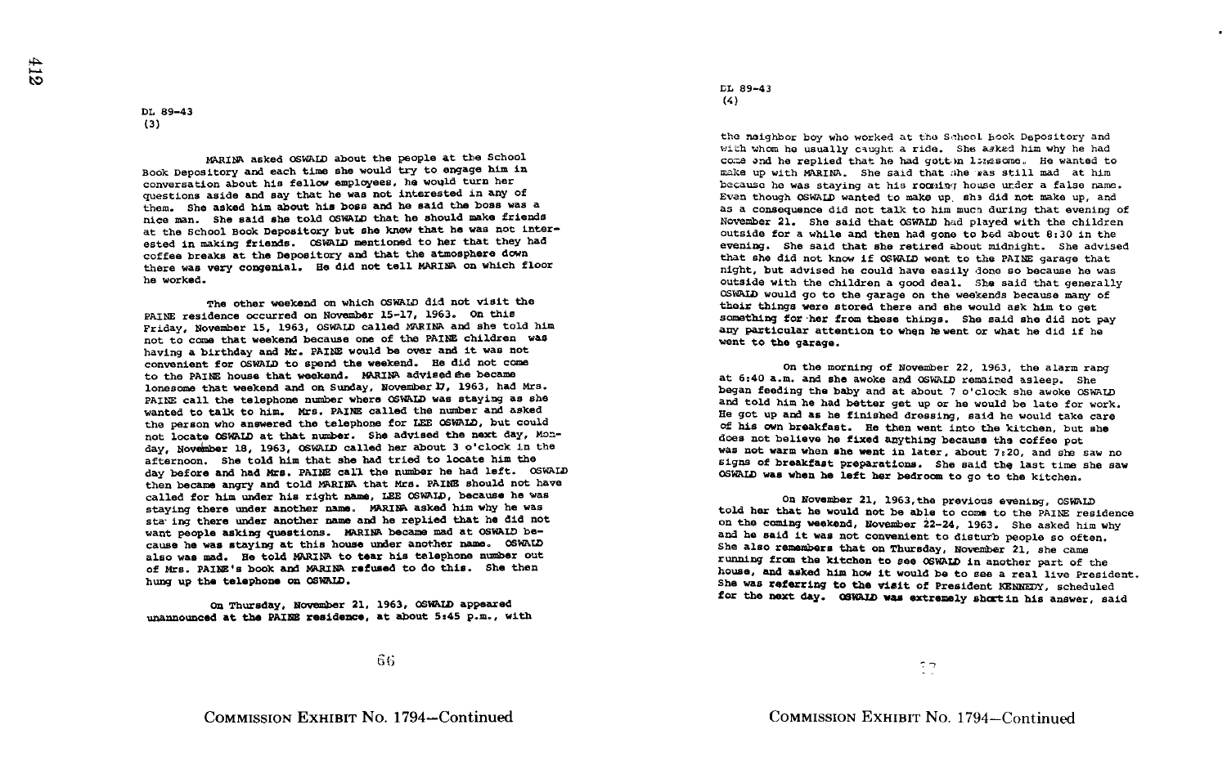## DL 89-43 (3)

MARINA asked OSWALD about the people at the School Book Depository and each time she would try to engage him in conversation about his fellow employees, he would turn her questions aside and say that he was not interested in any of them. She asked him about his boss and be said the boas was a nice man. She said she told OSWALD that he should make friends at the School Book Depository but she knew that he was not interested in making friends. OSWALD mentioned to her that they had coffee breaks at the Depository and that the atmosphere down there was very congenial. He did not tell MARINA on which floor he worked .

The other weekend on which OSWALD did not visit the PAINE residence occurred on November 15-17, 1963. On this Friday, November 15, 1963, OSWALD called MARINA and she told him not to come that weekend because one of the PAINE children was having a birthday and Mr. PAINE would be over and it was not convenient for OSWALD to spend the weekend. He did not come to the PAINE house that weekend. MARINA advised the became lonesome that weekend and on Sunday, NovemberI7, 1963, had Mrs . PAINE call the telephone number where OSWALD was staying as she wanted to talk to him. Mrs. PAINE called the number and asked the person who answered the telephone for LEE OSWALD, but could not locate OSWALD at that number. She advised the next day, Monday, November 18, 1963, OSWALD called her about <sup>3</sup> o'clock in the want people asking questions. MARINA became mad at OSWALD because he was staying at this house under another name . OSWALD also was mad. He told MARINA to tear his telephone number out of Mrs. PAINE's book and MARINA refused to do this. She then hung up the telephone on OSWALD . afternoon. She told him that she had tried to locate him the day before and had Mrs . PAINE call the number he had left . OSWALD then became angry and told MARINA that Mrs. PAINE should not have called for him under his right name, LEE OSWALD, because he was staying there under another name. MARINA asked him why he was stawing there under another name and he replied that he did not

On Thursday, November 21, 1963, OSWALD appeared unannounced at the PAINE residence, at about 5:45 p.m., with LL 89-43 (4)

the neighbor boy who worked at the School Book Depository and with whom he usually caught a ride. She asked him why he had come and he replied that he had gott in lozgsome. He wanted to make up with MARINA. She said that she was still mad at him because he was staying at his rocainq house under a false name. Even though OSWALD wanted to make up she did not make up, and as a consequence did not talk to him much during that evening of November 21. She said that OSWALD had played with the children outside for a while and then had gone to bad about 8 :30 in the evening. She said that she retired about midnight. She advised that she did not know if OSWALD went to the PAINE garage that night, but advised he could have easily done so because he was outside with the children a good deal. She said that generally OSWAID would go to the garage on the weekends because many of their things were stored there and she would ask him to get something for her from these things. She said she did not pay any particular attention to when to went or what he did if he went to the garage.

On the morning of November 22, 1963, the alarm rang at 6:40 a.m. and she awoke and OSWALD remained asleep. She began feeding the baby and at about <sup>7</sup> o'clock she awoke OSWALD and told him he had better get up or he would be late for work. He got up and as he finished dressing, said he would take care of his own breakfast. He then went into the kitchen, but she does not believe he fixed anything because the coffee pot<br>was not warm when she went in later, about 7:20, and she saw no signs of breakfast preparations. She said the last time she saw OSWALD was when he left her bedroom to go to the kitchen .

On November 21, 1963,the previous evening, OSWALD told her that he would not be able to come to the PAINE residence on the coming weekend, November 22-24, 1963. She asked him why and he said it was not convenient to disturb people so often. She also remembers that on Thursday, November 21, she came running from the kitchen to see OSWALD in another part of the house, and asked him how it would be to see a real live President . She was referring to the visit of President KENNEDY, scheduled for the next day. OSWAID was extremely shortin his answer, said

66

 $27$